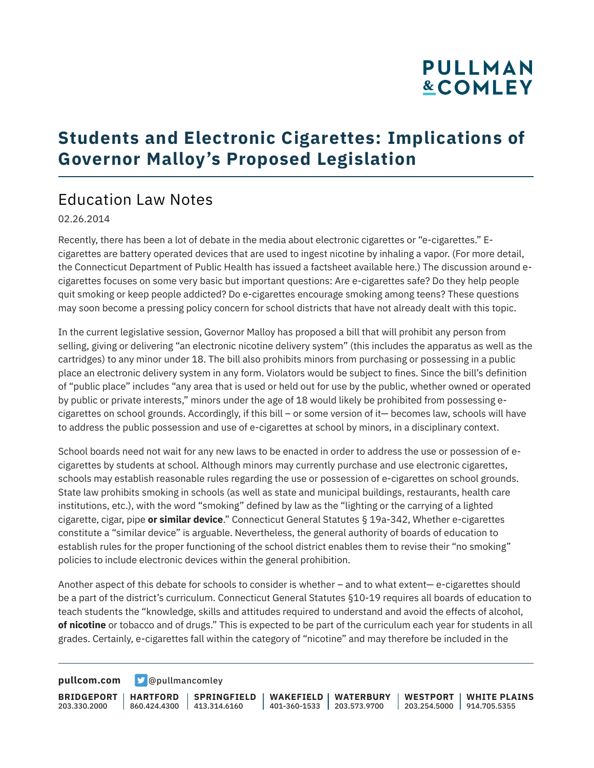# **PULLMAN &COMLEY**

## **Students and Electronic Cigarettes: Implications of Governor Malloy's Proposed Legislation**

## Education Law Notes

#### 02.26.2014

Recently, there has been a lot of debate in the media about electronic cigarettes or "e-cigarettes." Ecigarettes are battery operated devices that are used to ingest nicotine by inhaling a vapor. (For more detail, the Connecticut Department of Public Health has issued a factsheet available here.) The discussion around ecigarettes focuses on some very basic but important questions: Are e-cigarettes safe? Do they help people quit smoking or keep people addicted? Do e-cigarettes encourage smoking among teens? These questions may soon become a pressing policy concern for school districts that have not already dealt with this topic.

In the current legislative session, Governor Malloy has proposed a bill that will prohibit any person from selling, giving or delivering "an electronic nicotine delivery system" (this includes the apparatus as well as the cartridges) to any minor under 18. The bill also prohibits minors from purchasing or possessing in a public place an electronic delivery system in any form. Violators would be subject to fines. Since the bill's definition of "public place" includes "any area that is used or held out for use by the public, whether owned or operated by public or private interests," minors under the age of 18 would likely be prohibited from possessing ecigarettes on school grounds. Accordingly, if this bill – or some version of it— becomes law, schools will have to address the public possession and use of e-cigarettes at school by minors, in a disciplinary context.

School boards need not wait for any new laws to be enacted in order to address the use or possession of ecigarettes by students at school. Although minors may currently purchase and use electronic cigarettes, schools may establish reasonable rules regarding the use or possession of e-cigarettes on school grounds. State law prohibits smoking in schools (as well as state and municipal buildings, restaurants, health care institutions, etc.), with the word "smoking" defined by law as the "lighting or the carrying of a lighted cigarette, cigar, pipe **or similar device**." Connecticut General Statutes § 19a-342, Whether e-cigarettes constitute a "similar device" is arguable. Nevertheless, the general authority of boards of education to establish rules for the proper functioning of the school district enables them to revise their "no smoking" policies to include electronic devices within the general prohibition.

Another aspect of this debate for schools to consider is whether – and to what extent— e-cigarettes should be a part of the district's curriculum. Connecticut General Statutes §10-19 requires all boards of education to teach students the "knowledge, skills and attitudes required to understand and avoid the effects of alcohol, **of nicotine** or tobacco and of drugs." This is expected to be part of the curriculum each year for students in all grades. Certainly, e-cigarettes fall within the category of "nicotine" and may therefore be included in the

**[pullcom.com](https://www.pullcom.com) g** [@pullmancomley](https://twitter.com/PullmanComley)

**BRIDGEPORT HARTFORD** 203.330.2000 860.424.4300 413.314.6160 **SPRINGFIELD WAKEFIELD WATERBURY** 401-360-1533 203.573.9700 **WESTPORT WHITE PLAINS** 203.254.5000 914.705.5355